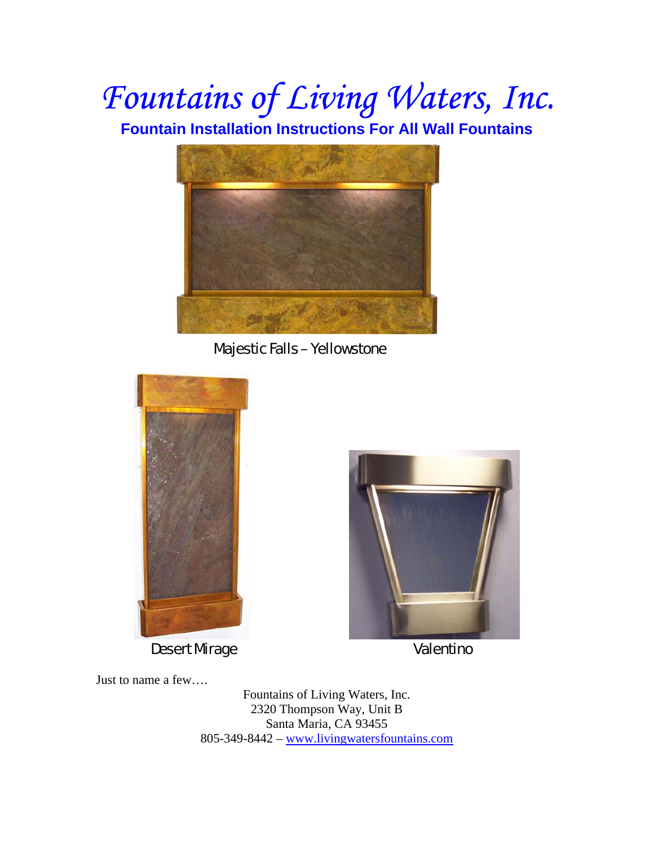# *Fountains of Living Waters, Inc.*

**Fountain Installation Instructions For All Wall Fountains** 



Majestic Falls – Yellowstone





Just to name a few….

Fountains of Living Waters, Inc. 2320 Thompson Way, Unit B Santa Maria, CA 93455 805-349-8442 – www.livingwatersfountains.com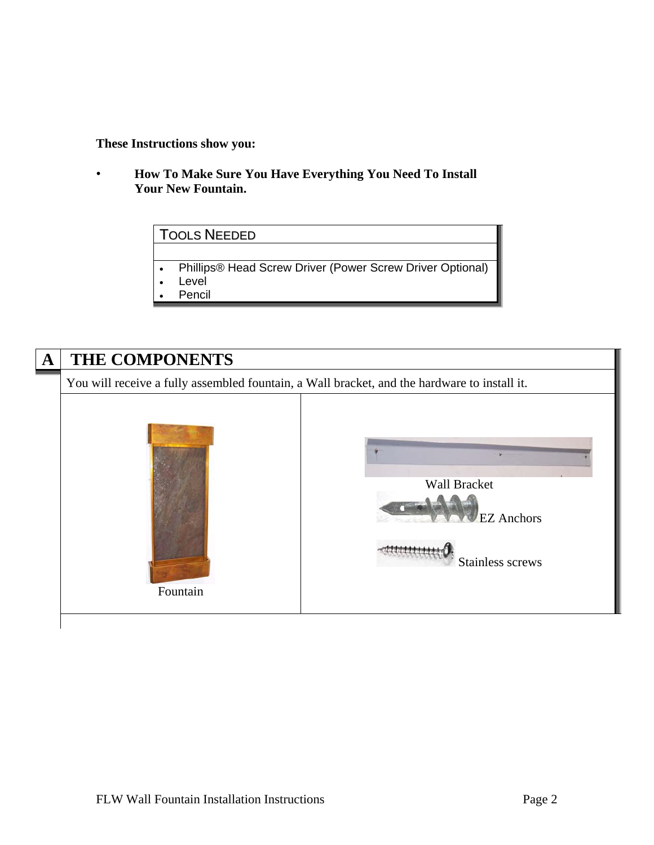#### **These Instructions show you:**

• **How To Make Sure You Have Everything You Need To Install Your New Fountain.** 

## TOOLS NEEDED

- Phillips® Head Screw Driver (Power Screw Driver Optional)
- Level
- **Pencil**

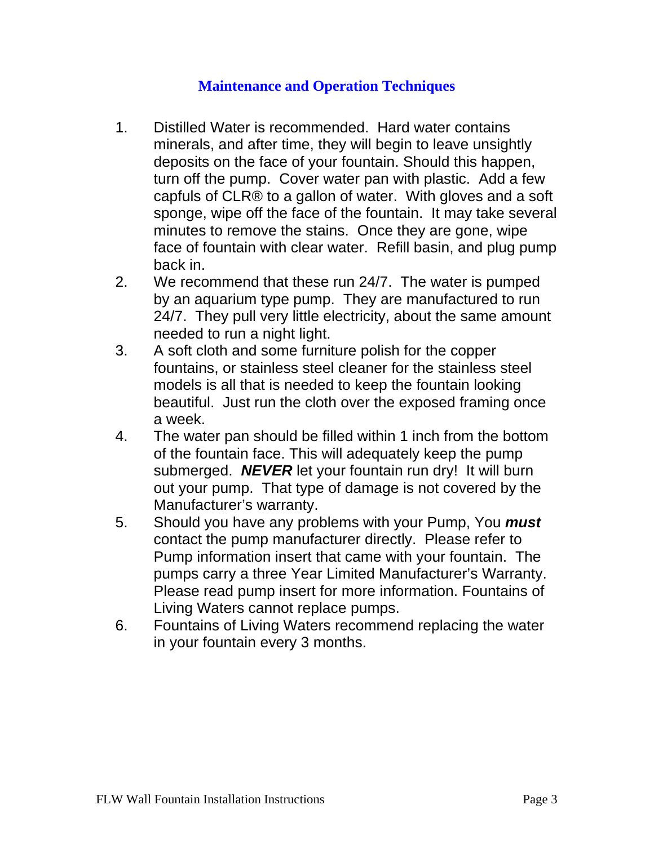#### **Maintenance and Operation Techniques**

- 1. Distilled Water is recommended. Hard water contains minerals, and after time, they will begin to leave unsightly deposits on the face of your fountain. Should this happen, turn off the pump. Cover water pan with plastic. Add a few capfuls of CLR® to a gallon of water. With gloves and a soft sponge, wipe off the face of the fountain. It may take several minutes to remove the stains. Once they are gone, wipe face of fountain with clear water. Refill basin, and plug pump back in.
- 2. We recommend that these run 24/7. The water is pumped by an aquarium type pump. They are manufactured to run 24/7. They pull very little electricity, about the same amount needed to run a night light.
- 3. A soft cloth and some furniture polish for the copper fountains, or stainless steel cleaner for the stainless steel models is all that is needed to keep the fountain looking beautiful. Just run the cloth over the exposed framing once a week.
- 4. The water pan should be filled within 1 inch from the bottom of the fountain face. This will adequately keep the pump submerged. *NEVER* let your fountain run dry! It will burn out your pump. That type of damage is not covered by the Manufacturer's warranty.
- 5. Should you have any problems with your Pump, You *must* contact the pump manufacturer directly. Please refer to Pump information insert that came with your fountain. The pumps carry a three Year Limited Manufacturer's Warranty. Please read pump insert for more information. Fountains of Living Waters cannot replace pumps.
- 6. Fountains of Living Waters recommend replacing the water in your fountain every 3 months.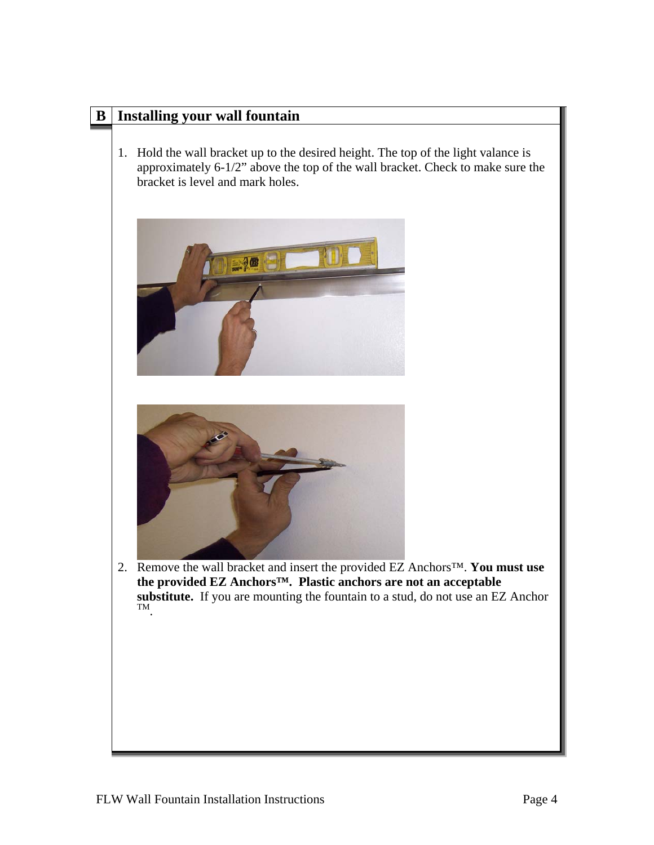### **B Installing your wall fountain**

1. Hold the wall bracket up to the desired height. The top of the light valance is approximately 6-1/2" above the top of the wall bracket. Check to make sure the bracket is level and mark holes.





2. Remove the wall bracket and insert the provided EZ Anchors™. **You must use the provided EZ Anchors™. Plastic anchors are not an acceptable substitute.** If you are mounting the fountain to a stud, do not use an EZ Anchor TM.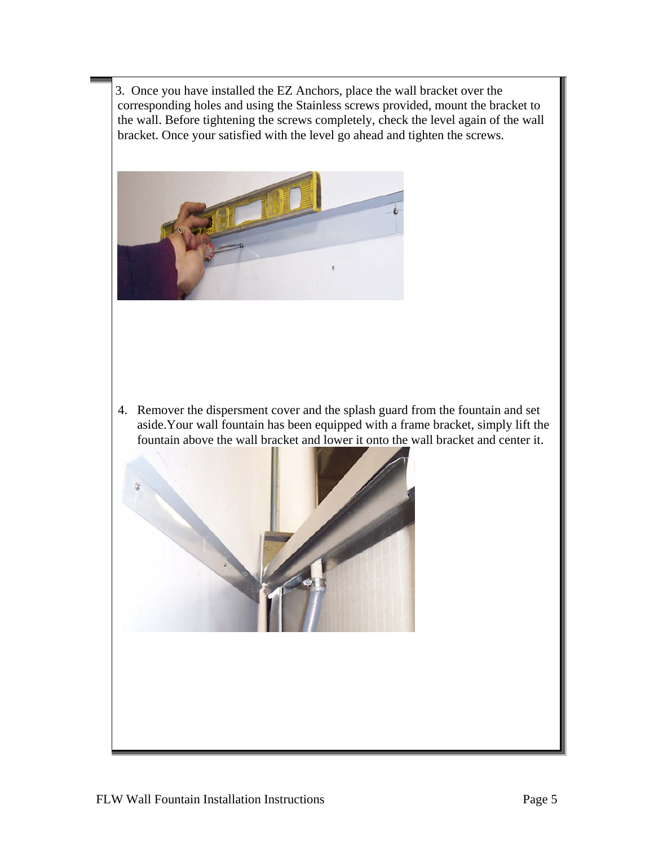3. Once you have installed the EZ Anchors, place the wall bracket over the corresponding holes and using the Stainless screws provided, mount the bracket to the wall. Before tightening the screws completely, check the level again of the wall bracket. Once your satisfied with the level go ahead and tighten the screws.



4. Remover the dispersment cover and the splash guard from the fountain and set aside.Your wall fountain has been equipped with a frame bracket, simply lift the fountain above the wall bracket and lower it onto the wall bracket and center it.

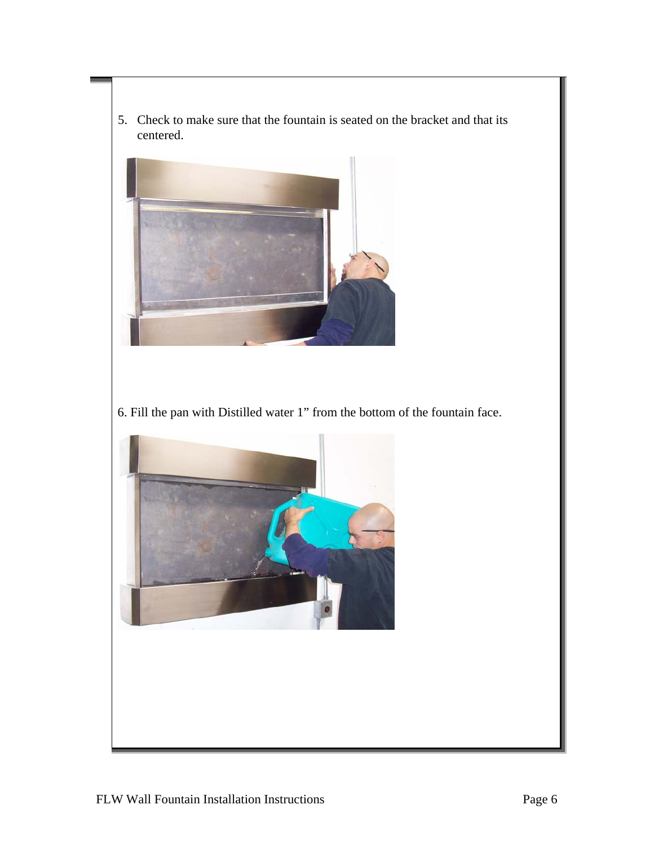5. Check to make sure that the fountain is seated on the bracket and that its centered.



6. Fill the pan with Distilled water 1" from the bottom of the fountain face.

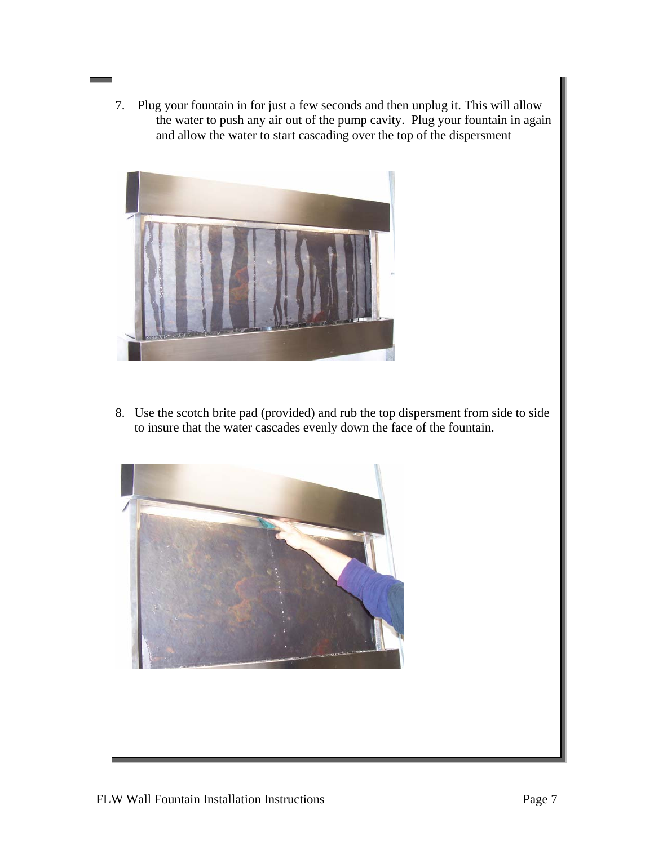7. Plug your fountain in for just a few seconds and then unplug it. This will allow the water to push any air out of the pump cavity. Plug your fountain in again and allow the water to start cascading over the top of the dispersment



8. Use the scotch brite pad (provided) and rub the top dispersment from side to side to insure that the water cascades evenly down the face of the fountain.